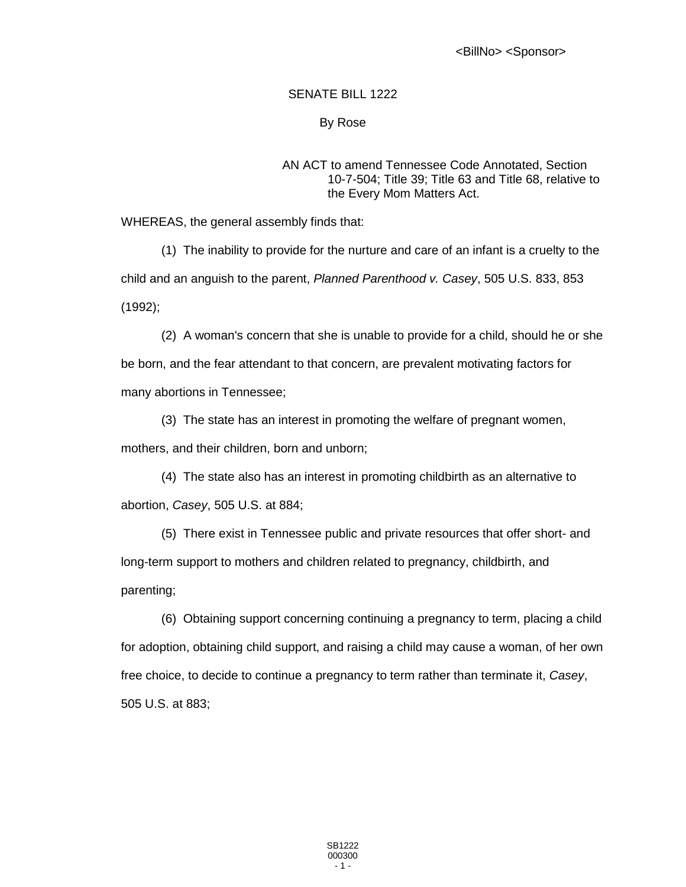# SENATE BILL 1222

### By Rose

### AN ACT to amend Tennessee Code Annotated, Section 10-7-504; Title 39; Title 63 and Title 68, relative to the Every Mom Matters Act.

WHEREAS, the general assembly finds that:

(1) The inability to provide for the nurture and care of an infant is a cruelty to the child and an anguish to the parent, *Planned Parenthood v. Casey*, 505 U.S. 833, 853 (1992);

(2) A woman's concern that she is unable to provide for a child, should he or she be born, and the fear attendant to that concern, are prevalent motivating factors for many abortions in Tennessee;

(3) The state has an interest in promoting the welfare of pregnant women, mothers, and their children, born and unborn;

(4) The state also has an interest in promoting childbirth as an alternative to abortion, *Casey*, 505 U.S. at 884;

(5) There exist in Tennessee public and private resources that offer short- and long-term support to mothers and children related to pregnancy, childbirth, and parenting;

(6) Obtaining support concerning continuing a pregnancy to term, placing a child for adoption, obtaining child support, and raising a child may cause a woman, of her own free choice, to decide to continue a pregnancy to term rather than terminate it, *Casey*, 505 U.S. at 883;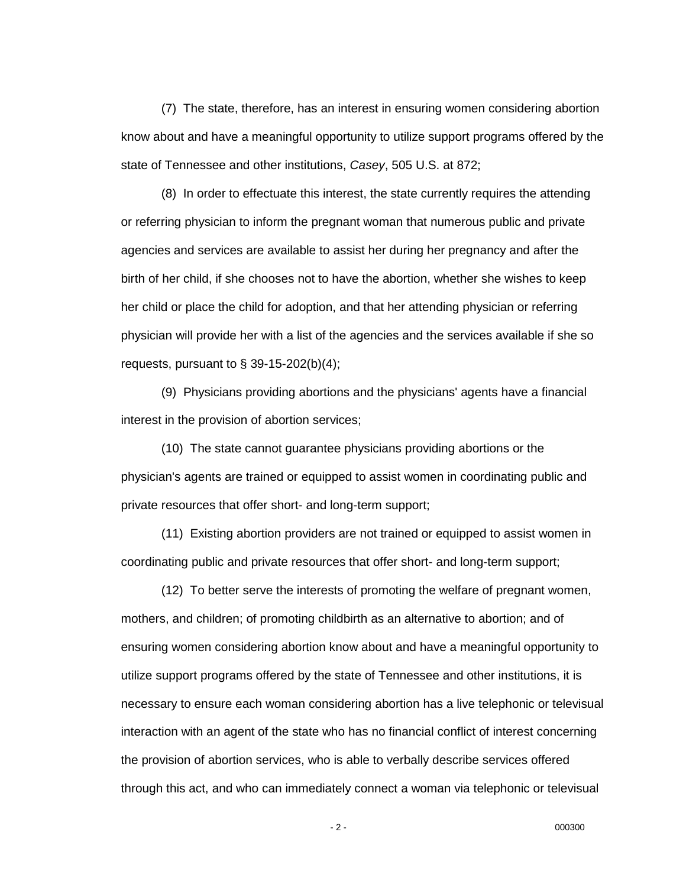(7) The state, therefore, has an interest in ensuring women considering abortion know about and have a meaningful opportunity to utilize support programs offered by the state of Tennessee and other institutions, *Casey*, 505 U.S. at 872;

(8) In order to effectuate this interest, the state currently requires the attending or referring physician to inform the pregnant woman that numerous public and private agencies and services are available to assist her during her pregnancy and after the birth of her child, if she chooses not to have the abortion, whether she wishes to keep her child or place the child for adoption, and that her attending physician or referring physician will provide her with a list of the agencies and the services available if she so requests, pursuant to  $\S$  39-15-202(b)(4);

(9) Physicians providing abortions and the physicians' agents have a financial interest in the provision of abortion services;

(10) The state cannot guarantee physicians providing abortions or the physician's agents are trained or equipped to assist women in coordinating public and private resources that offer short- and long-term support;

(11) Existing abortion providers are not trained or equipped to assist women in coordinating public and private resources that offer short- and long-term support;

(12) To better serve the interests of promoting the welfare of pregnant women, mothers, and children; of promoting childbirth as an alternative to abortion; and of ensuring women considering abortion know about and have a meaningful opportunity to utilize support programs offered by the state of Tennessee and other institutions, it is necessary to ensure each woman considering abortion has a live telephonic or televisual interaction with an agent of the state who has no financial conflict of interest concerning the provision of abortion services, who is able to verbally describe services offered through this act, and who can immediately connect a woman via telephonic or televisual

- 2 - 000300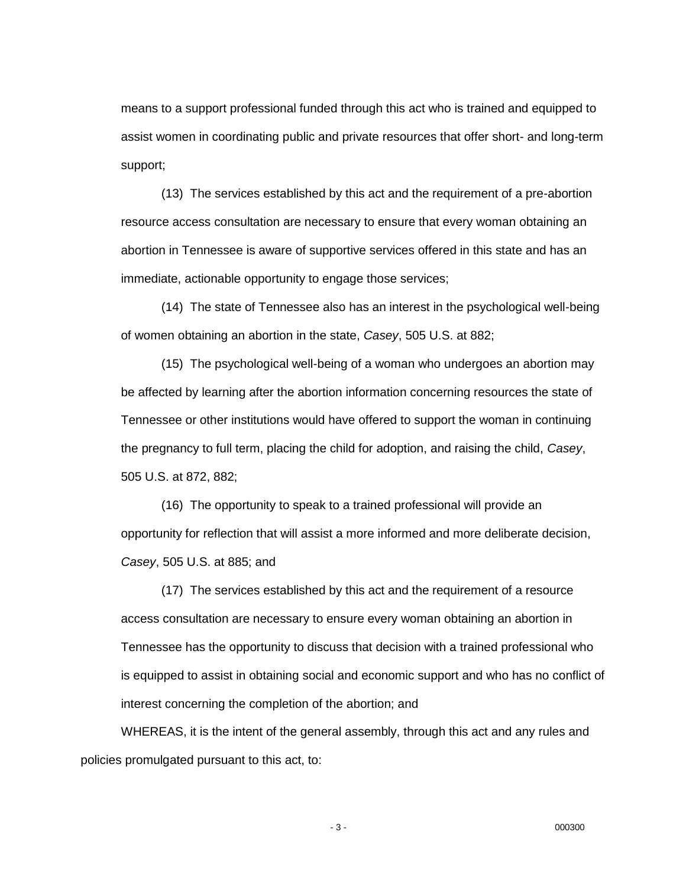means to a support professional funded through this act who is trained and equipped to assist women in coordinating public and private resources that offer short- and long-term support;

(13) The services established by this act and the requirement of a pre-abortion resource access consultation are necessary to ensure that every woman obtaining an abortion in Tennessee is aware of supportive services offered in this state and has an immediate, actionable opportunity to engage those services;

(14) The state of Tennessee also has an interest in the psychological well-being of women obtaining an abortion in the state, *Casey*, 505 U.S. at 882;

(15) The psychological well-being of a woman who undergoes an abortion may be affected by learning after the abortion information concerning resources the state of Tennessee or other institutions would have offered to support the woman in continuing the pregnancy to full term, placing the child for adoption, and raising the child, *Casey*, 505 U.S. at 872, 882;

(16) The opportunity to speak to a trained professional will provide an opportunity for reflection that will assist a more informed and more deliberate decision, *Casey*, 505 U.S. at 885; and

(17) The services established by this act and the requirement of a resource access consultation are necessary to ensure every woman obtaining an abortion in Tennessee has the opportunity to discuss that decision with a trained professional who is equipped to assist in obtaining social and economic support and who has no conflict of interest concerning the completion of the abortion; and

WHEREAS, it is the intent of the general assembly, through this act and any rules and policies promulgated pursuant to this act, to:

- 3 - 000300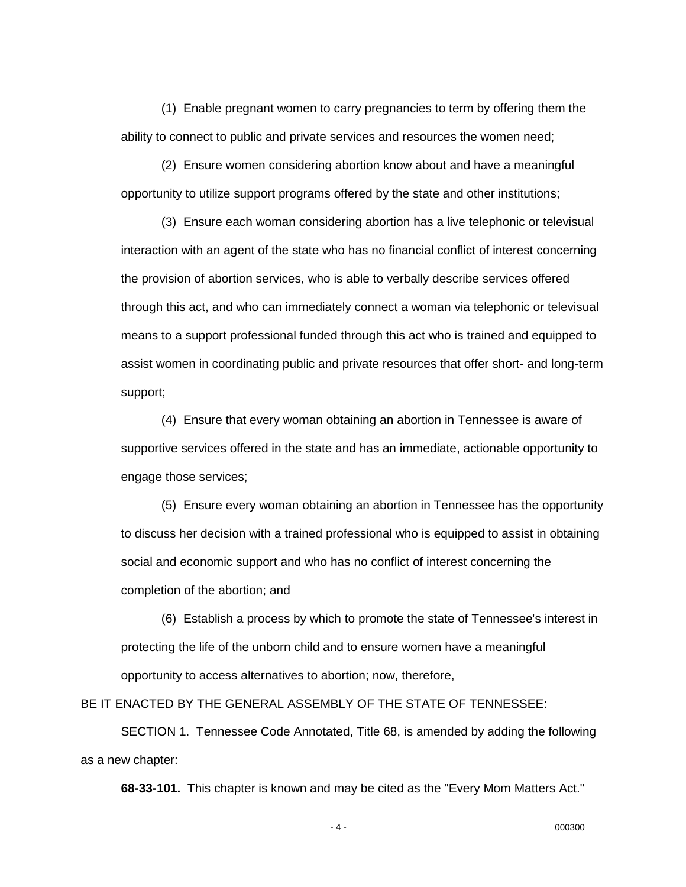(1) Enable pregnant women to carry pregnancies to term by offering them the ability to connect to public and private services and resources the women need;

(2) Ensure women considering abortion know about and have a meaningful opportunity to utilize support programs offered by the state and other institutions;

(3) Ensure each woman considering abortion has a live telephonic or televisual interaction with an agent of the state who has no financial conflict of interest concerning the provision of abortion services, who is able to verbally describe services offered through this act, and who can immediately connect a woman via telephonic or televisual means to a support professional funded through this act who is trained and equipped to assist women in coordinating public and private resources that offer short- and long-term support;

(4) Ensure that every woman obtaining an abortion in Tennessee is aware of supportive services offered in the state and has an immediate, actionable opportunity to engage those services;

(5) Ensure every woman obtaining an abortion in Tennessee has the opportunity to discuss her decision with a trained professional who is equipped to assist in obtaining social and economic support and who has no conflict of interest concerning the completion of the abortion; and

(6) Establish a process by which to promote the state of Tennessee's interest in protecting the life of the unborn child and to ensure women have a meaningful opportunity to access alternatives to abortion; now, therefore,

BE IT ENACTED BY THE GENERAL ASSEMBLY OF THE STATE OF TENNESSEE:

SECTION 1. Tennessee Code Annotated, Title 68, is amended by adding the following as a new chapter:

**68-33-101.** This chapter is known and may be cited as the "Every Mom Matters Act."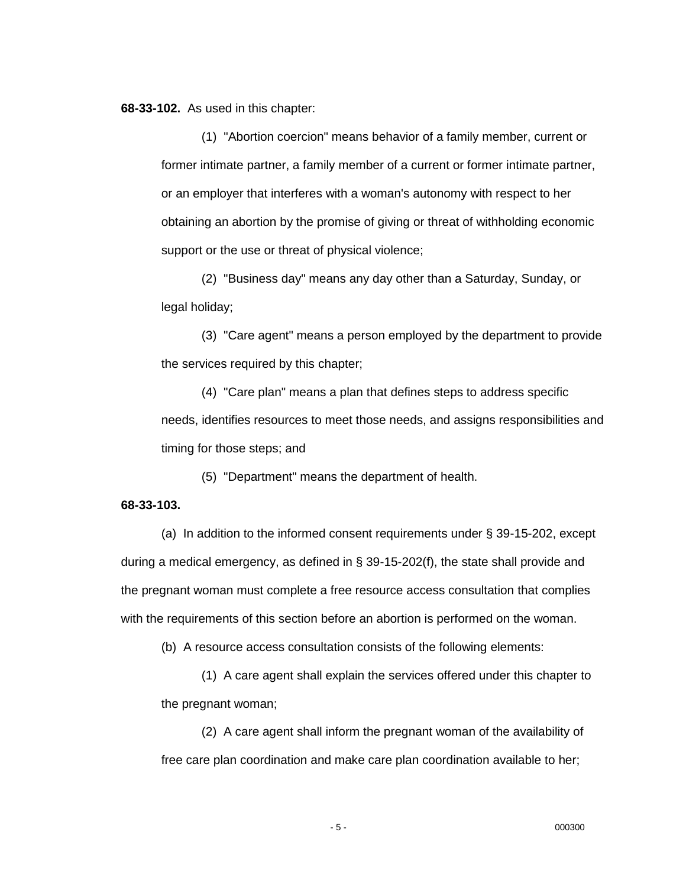**68-33-102.** As used in this chapter:

(1) "Abortion coercion" means behavior of a family member, current or former intimate partner, a family member of a current or former intimate partner, or an employer that interferes with a woman's autonomy with respect to her obtaining an abortion by the promise of giving or threat of withholding economic support or the use or threat of physical violence;

(2) "Business day" means any day other than a Saturday, Sunday, or legal holiday;

(3) "Care agent" means a person employed by the department to provide the services required by this chapter;

(4) "Care plan" means a plan that defines steps to address specific needs, identifies resources to meet those needs, and assigns responsibilities and timing for those steps; and

(5) "Department" means the department of health.

### **68-33-103.**

(a) In addition to the informed consent requirements under § 39-15-202, except during a medical emergency, as defined in § 39-15-202(f), the state shall provide and the pregnant woman must complete a free resource access consultation that complies with the requirements of this section before an abortion is performed on the woman.

(b) A resource access consultation consists of the following elements:

(1) A care agent shall explain the services offered under this chapter to the pregnant woman;

(2) A care agent shall inform the pregnant woman of the availability of free care plan coordination and make care plan coordination available to her;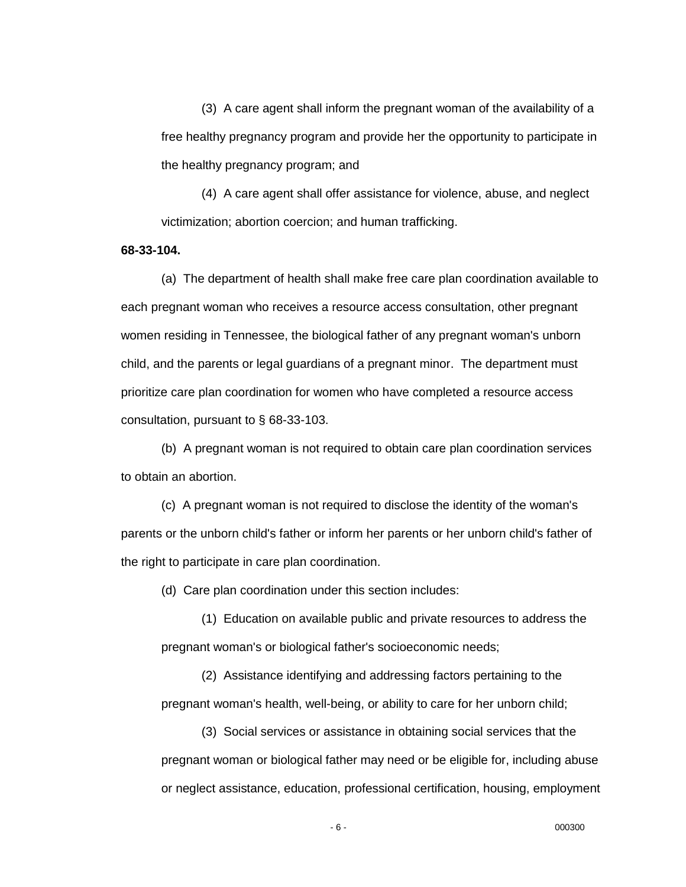(3) A care agent shall inform the pregnant woman of the availability of a free healthy pregnancy program and provide her the opportunity to participate in the healthy pregnancy program; and

(4) A care agent shall offer assistance for violence, abuse, and neglect victimization; abortion coercion; and human trafficking.

**68-33-104.**

(a) The department of health shall make free care plan coordination available to each pregnant woman who receives a resource access consultation, other pregnant women residing in Tennessee, the biological father of any pregnant woman's unborn child, and the parents or legal guardians of a pregnant minor. The department must prioritize care plan coordination for women who have completed a resource access consultation, pursuant to § 68-33-103.

(b) A pregnant woman is not required to obtain care plan coordination services to obtain an abortion.

(c) A pregnant woman is not required to disclose the identity of the woman's parents or the unborn child's father or inform her parents or her unborn child's father of the right to participate in care plan coordination.

(d) Care plan coordination under this section includes:

(1) Education on available public and private resources to address the pregnant woman's or biological father's socioeconomic needs;

(2) Assistance identifying and addressing factors pertaining to the pregnant woman's health, well-being, or ability to care for her unborn child;

(3) Social services or assistance in obtaining social services that the pregnant woman or biological father may need or be eligible for, including abuse or neglect assistance, education, professional certification, housing, employment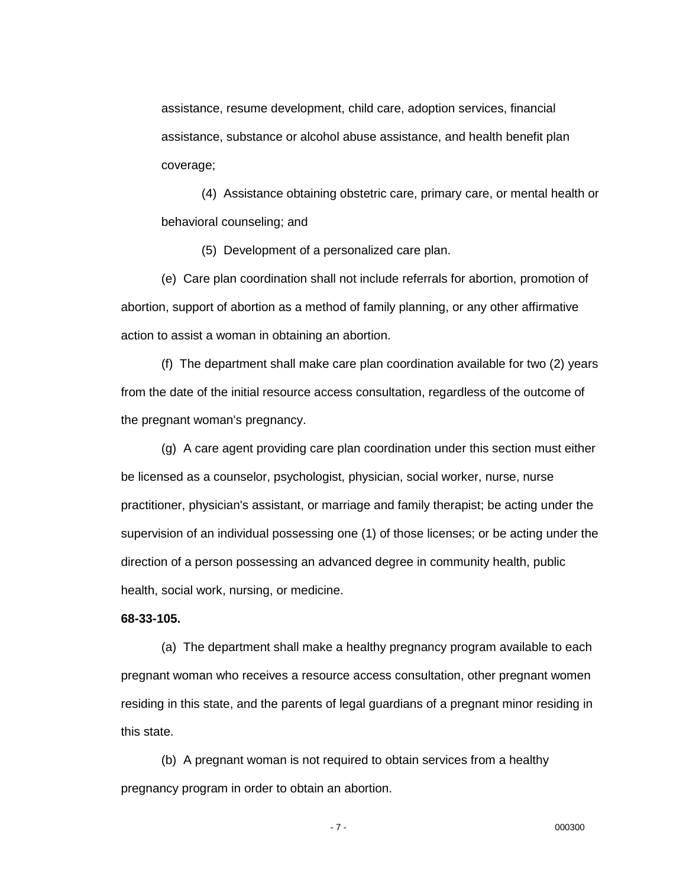assistance, resume development, child care, adoption services, financial assistance, substance or alcohol abuse assistance, and health benefit plan coverage;

(4) Assistance obtaining obstetric care, primary care, or mental health or behavioral counseling; and

(5) Development of a personalized care plan.

(e) Care plan coordination shall not include referrals for abortion, promotion of abortion, support of abortion as a method of family planning, or any other affirmative action to assist a woman in obtaining an abortion.

(f) The department shall make care plan coordination available for two (2) years from the date of the initial resource access consultation, regardless of the outcome of the pregnant woman's pregnancy.

(g) A care agent providing care plan coordination under this section must either be licensed as a counselor, psychologist, physician, social worker, nurse, nurse practitioner, physician's assistant, or marriage and family therapist; be acting under the supervision of an individual possessing one (1) of those licenses; or be acting under the direction of a person possessing an advanced degree in community health, public health, social work, nursing, or medicine.

### **68-33-105.**

(a) The department shall make a healthy pregnancy program available to each pregnant woman who receives a resource access consultation, other pregnant women residing in this state, and the parents of legal guardians of a pregnant minor residing in this state.

(b) A pregnant woman is not required to obtain services from a healthy pregnancy program in order to obtain an abortion.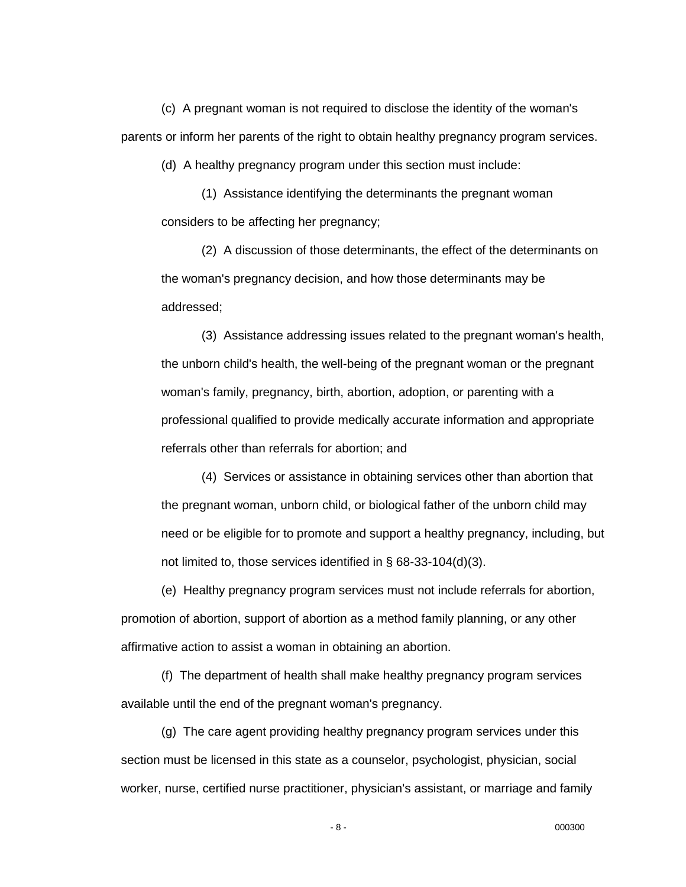(c) A pregnant woman is not required to disclose the identity of the woman's parents or inform her parents of the right to obtain healthy pregnancy program services.

(d) A healthy pregnancy program under this section must include:

(1) Assistance identifying the determinants the pregnant woman considers to be affecting her pregnancy;

(2) A discussion of those determinants, the effect of the determinants on the woman's pregnancy decision, and how those determinants may be addressed;

(3) Assistance addressing issues related to the pregnant woman's health, the unborn child's health, the well-being of the pregnant woman or the pregnant woman's family, pregnancy, birth, abortion, adoption, or parenting with a professional qualified to provide medically accurate information and appropriate referrals other than referrals for abortion; and

(4) Services or assistance in obtaining services other than abortion that the pregnant woman, unborn child, or biological father of the unborn child may need or be eligible for to promote and support a healthy pregnancy, including, but not limited to, those services identified in § 68-33-104(d)(3).

(e) Healthy pregnancy program services must not include referrals for abortion, promotion of abortion, support of abortion as a method family planning, or any other affirmative action to assist a woman in obtaining an abortion.

(f) The department of health shall make healthy pregnancy program services available until the end of the pregnant woman's pregnancy.

(g) The care agent providing healthy pregnancy program services under this section must be licensed in this state as a counselor, psychologist, physician, social worker, nurse, certified nurse practitioner, physician's assistant, or marriage and family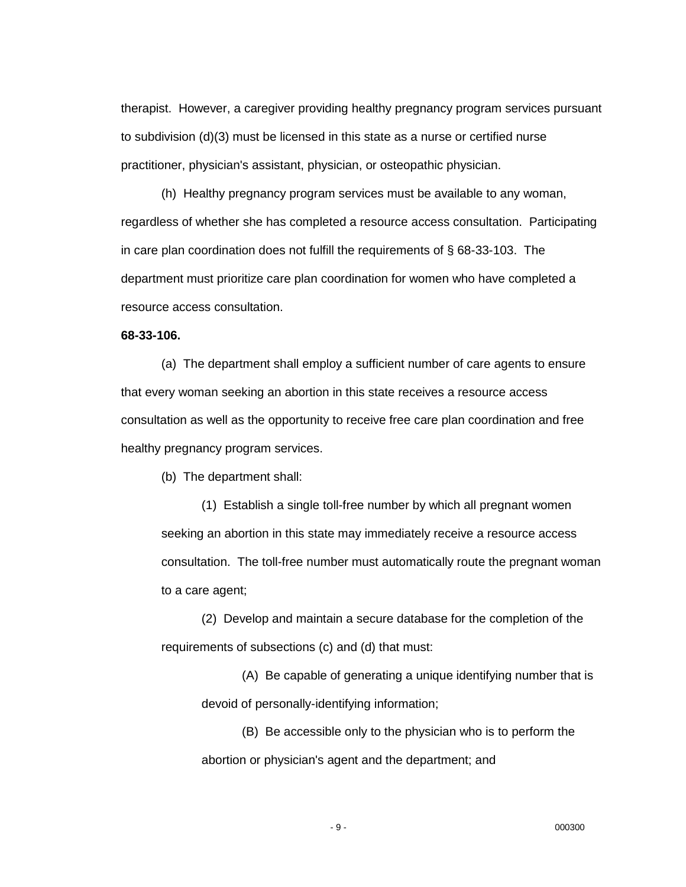therapist. However, a caregiver providing healthy pregnancy program services pursuant to subdivision (d)(3) must be licensed in this state as a nurse or certified nurse practitioner, physician's assistant, physician, or osteopathic physician.

(h) Healthy pregnancy program services must be available to any woman, regardless of whether she has completed a resource access consultation. Participating in care plan coordination does not fulfill the requirements of § 68-33-103. The department must prioritize care plan coordination for women who have completed a resource access consultation.

## **68-33-106.**

(a) The department shall employ a sufficient number of care agents to ensure that every woman seeking an abortion in this state receives a resource access consultation as well as the opportunity to receive free care plan coordination and free healthy pregnancy program services.

(b) The department shall:

(1) Establish a single toll-free number by which all pregnant women seeking an abortion in this state may immediately receive a resource access consultation. The toll-free number must automatically route the pregnant woman to a care agent;

(2) Develop and maintain a secure database for the completion of the requirements of subsections (c) and (d) that must:

(A) Be capable of generating a unique identifying number that is devoid of personally-identifying information;

(B) Be accessible only to the physician who is to perform the abortion or physician's agent and the department; and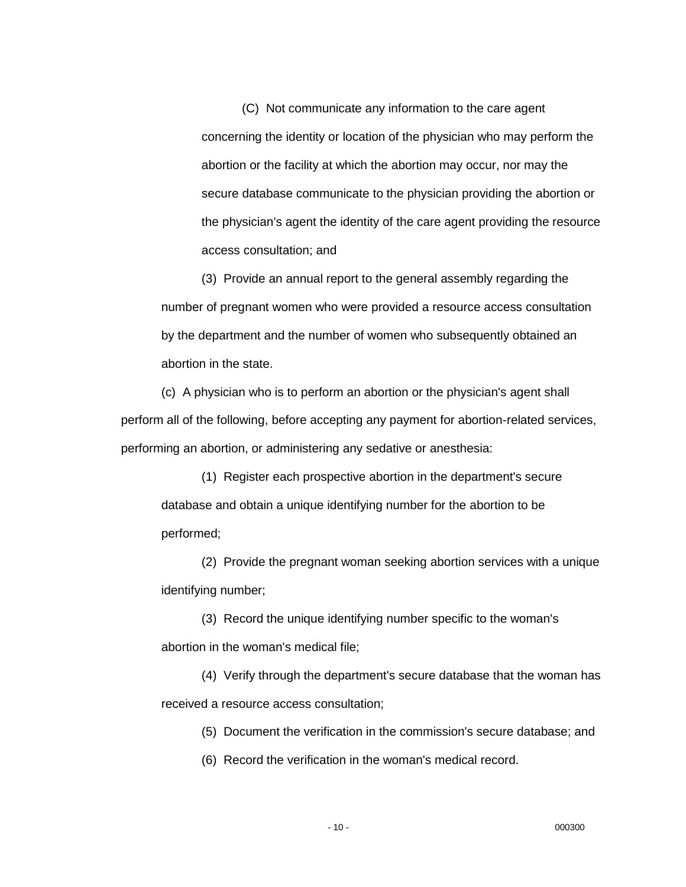(C) Not communicate any information to the care agent concerning the identity or location of the physician who may perform the abortion or the facility at which the abortion may occur, nor may the secure database communicate to the physician providing the abortion or the physician's agent the identity of the care agent providing the resource access consultation; and

(3) Provide an annual report to the general assembly regarding the number of pregnant women who were provided a resource access consultation by the department and the number of women who subsequently obtained an abortion in the state.

(c) A physician who is to perform an abortion or the physician's agent shall perform all of the following, before accepting any payment for abortion-related services, performing an abortion, or administering any sedative or anesthesia:

(1) Register each prospective abortion in the department's secure database and obtain a unique identifying number for the abortion to be performed;

(2) Provide the pregnant woman seeking abortion services with a unique identifying number;

(3) Record the unique identifying number specific to the woman's abortion in the woman's medical file;

(4) Verify through the department's secure database that the woman has received a resource access consultation;

(5) Document the verification in the commission's secure database; and

(6) Record the verification in the woman's medical record.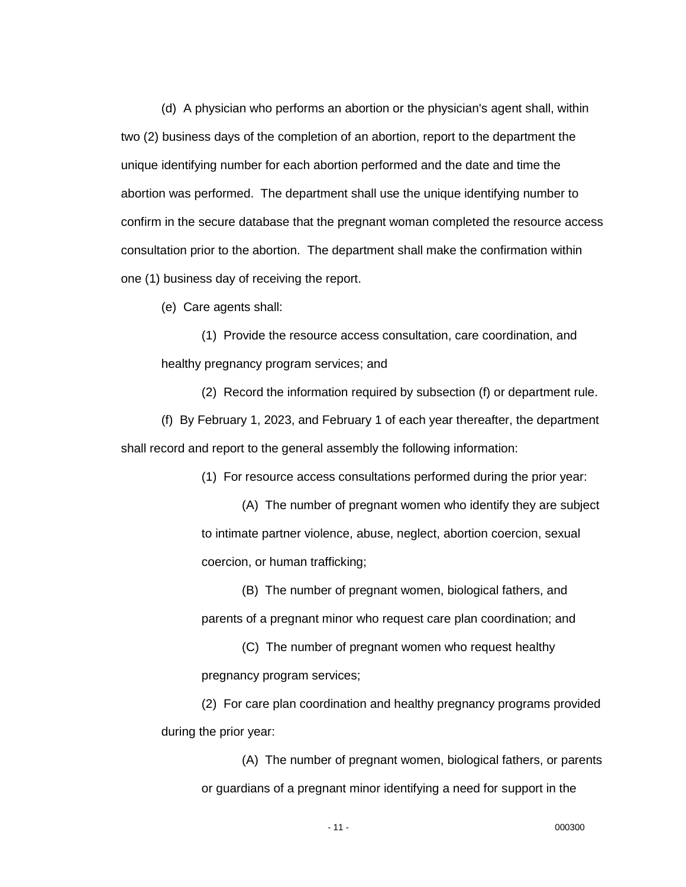(d) A physician who performs an abortion or the physician's agent shall, within two (2) business days of the completion of an abortion, report to the department the unique identifying number for each abortion performed and the date and time the abortion was performed. The department shall use the unique identifying number to confirm in the secure database that the pregnant woman completed the resource access consultation prior to the abortion. The department shall make the confirmation within one (1) business day of receiving the report.

(e) Care agents shall:

(1) Provide the resource access consultation, care coordination, and healthy pregnancy program services; and

(2) Record the information required by subsection (f) or department rule.

(f) By February 1, 2023, and February 1 of each year thereafter, the department shall record and report to the general assembly the following information:

(1) For resource access consultations performed during the prior year:

(A) The number of pregnant women who identify they are subject to intimate partner violence, abuse, neglect, abortion coercion, sexual coercion, or human trafficking;

(B) The number of pregnant women, biological fathers, and parents of a pregnant minor who request care plan coordination; and

(C) The number of pregnant women who request healthy pregnancy program services;

(2) For care plan coordination and healthy pregnancy programs provided during the prior year:

(A) The number of pregnant women, biological fathers, or parents or guardians of a pregnant minor identifying a need for support in the

- 11 - 000300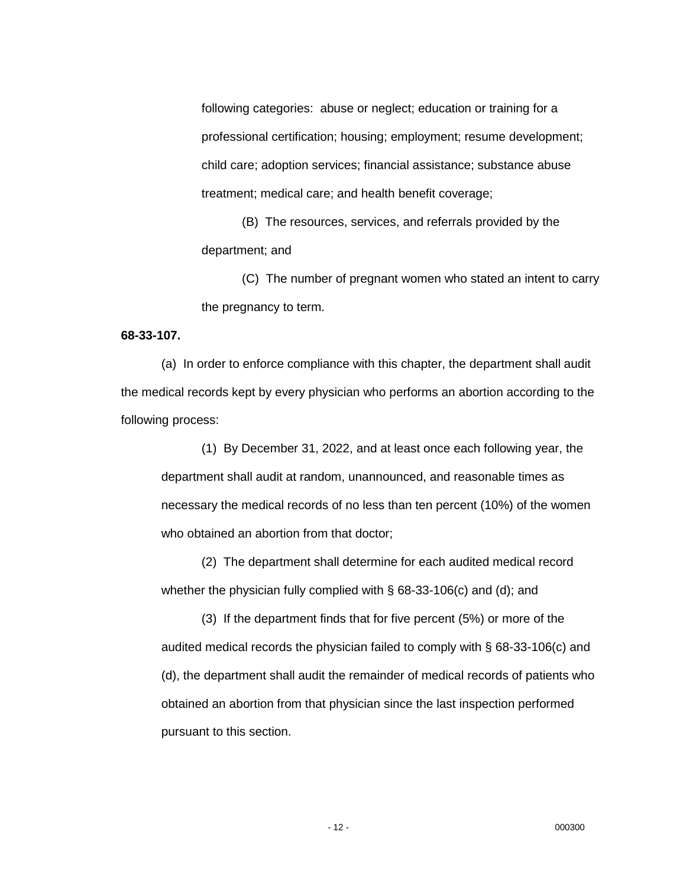following categories: abuse or neglect; education or training for a professional certification; housing; employment; resume development; child care; adoption services; financial assistance; substance abuse treatment; medical care; and health benefit coverage;

(B) The resources, services, and referrals provided by the department; and

(C) The number of pregnant women who stated an intent to carry the pregnancy to term.

### **68-33-107.**

(a) In order to enforce compliance with this chapter, the department shall audit the medical records kept by every physician who performs an abortion according to the following process:

(1) By December 31, 2022, and at least once each following year, the department shall audit at random, unannounced, and reasonable times as necessary the medical records of no less than ten percent (10%) of the women who obtained an abortion from that doctor;

(2) The department shall determine for each audited medical record whether the physician fully complied with § 68-33-106(c) and (d); and

(3) If the department finds that for five percent (5%) or more of the audited medical records the physician failed to comply with § 68-33-106(c) and (d), the department shall audit the remainder of medical records of patients who obtained an abortion from that physician since the last inspection performed pursuant to this section.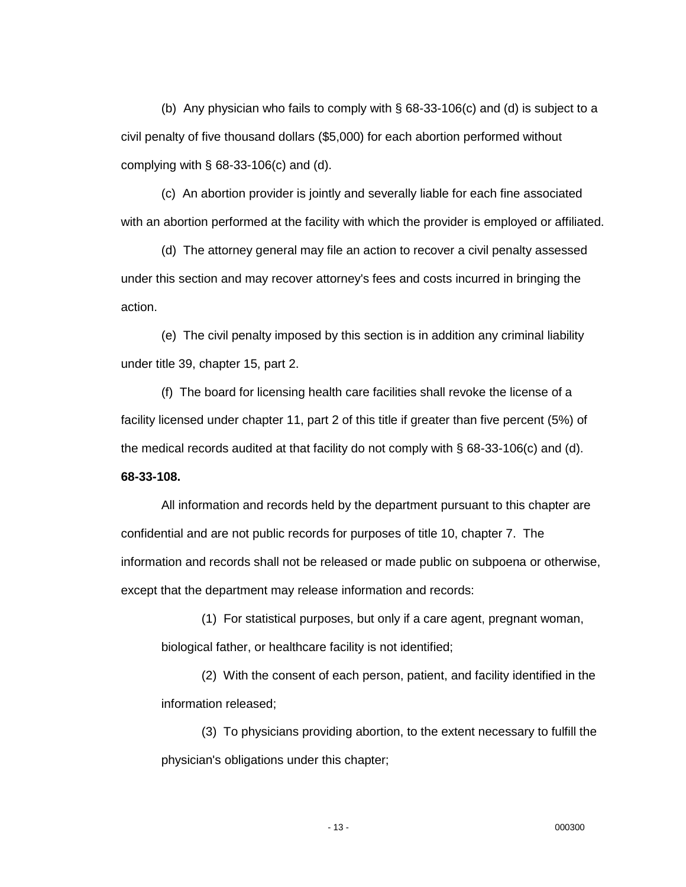(b) Any physician who fails to comply with § 68-33-106(c) and (d) is subject to a civil penalty of five thousand dollars (\$5,000) for each abortion performed without complying with  $\S$  68-33-106(c) and (d).

(c) An abortion provider is jointly and severally liable for each fine associated with an abortion performed at the facility with which the provider is employed or affiliated.

(d) The attorney general may file an action to recover a civil penalty assessed under this section and may recover attorney's fees and costs incurred in bringing the action.

(e) The civil penalty imposed by this section is in addition any criminal liability under title 39, chapter 15, part 2.

(f) The board for licensing health care facilities shall revoke the license of a facility licensed under chapter 11, part 2 of this title if greater than five percent (5%) of the medical records audited at that facility do not comply with  $\S$  68-33-106(c) and (d).

**68-33-108.**

All information and records held by the department pursuant to this chapter are confidential and are not public records for purposes of title 10, chapter 7. The information and records shall not be released or made public on subpoena or otherwise, except that the department may release information and records:

(1) For statistical purposes, but only if a care agent, pregnant woman, biological father, or healthcare facility is not identified;

(2) With the consent of each person, patient, and facility identified in the information released;

(3) To physicians providing abortion, to the extent necessary to fulfill the physician's obligations under this chapter;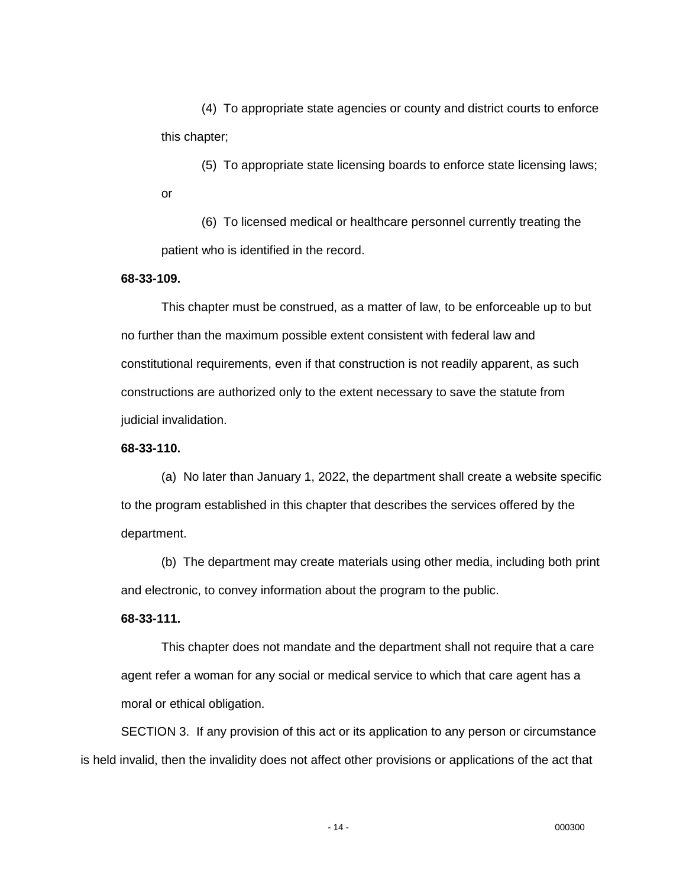(4) To appropriate state agencies or county and district courts to enforce this chapter;

(5) To appropriate state licensing boards to enforce state licensing laws; or

(6) To licensed medical or healthcare personnel currently treating the patient who is identified in the record.

## **68-33-109.**

This chapter must be construed, as a matter of law, to be enforceable up to but no further than the maximum possible extent consistent with federal law and constitutional requirements, even if that construction is not readily apparent, as such constructions are authorized only to the extent necessary to save the statute from judicial invalidation.

### **68-33-110.**

(a) No later than January 1, 2022, the department shall create a website specific to the program established in this chapter that describes the services offered by the department.

(b) The department may create materials using other media, including both print and electronic, to convey information about the program to the public.

### **68-33-111.**

This chapter does not mandate and the department shall not require that a care agent refer a woman for any social or medical service to which that care agent has a moral or ethical obligation.

SECTION 3. If any provision of this act or its application to any person or circumstance is held invalid, then the invalidity does not affect other provisions or applications of the act that